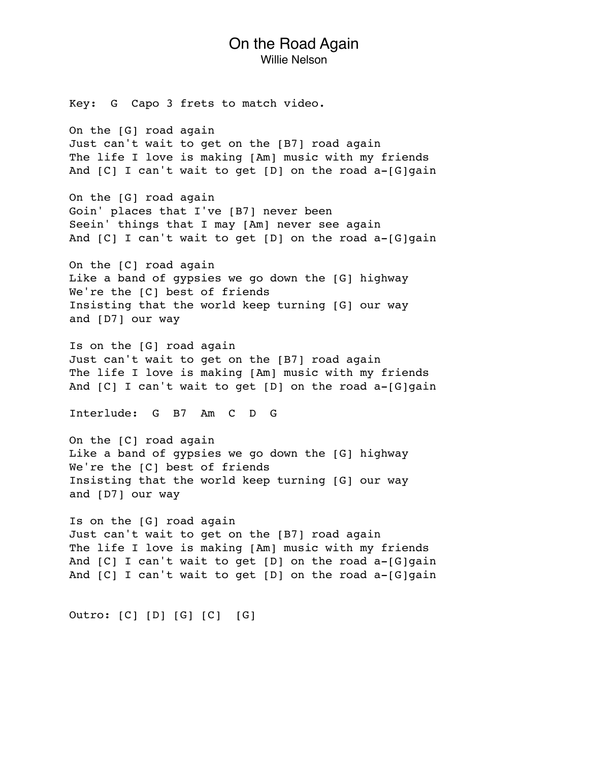## On the Road Again Willie Nelson

Key: G Capo 3 frets to match video.

On the [G] road again Just can't wait to get on the [B7] road again The life I love is making [Am] music with my friends And  $[C]$  I can't wait to get  $[D]$  on the road a- $[G]$ gain

On the [G] road again Goin' places that I've [B7] never been Seein' things that I may [Am] never see again And [C] I can't wait to get [D] on the road a-[G]gain

On the [C] road again Like a band of gypsies we go down the [G] highway We're the [C] best of friends Insisting that the world keep turning [G] our way and [D7] our way

Is on the [G] road again Just can't wait to get on the [B7] road again The life I love is making [Am] music with my friends And [C] I can't wait to get [D] on the road a-[G]gain

Interlude: G B7 Am C D G

On the [C] road again Like a band of gypsies we go down the [G] highway We're the [C] best of friends Insisting that the world keep turning [G] our way and [D7] our way

Is on the [G] road again Just can't wait to get on the [B7] road again The life I love is making [Am] music with my friends And  $[C]$  I can't wait to get  $[D]$  on the road a- $[G]$ gain And [C] I can't wait to get [D] on the road a-[G]gain

Outro: [C] [D] [G] [C] [G]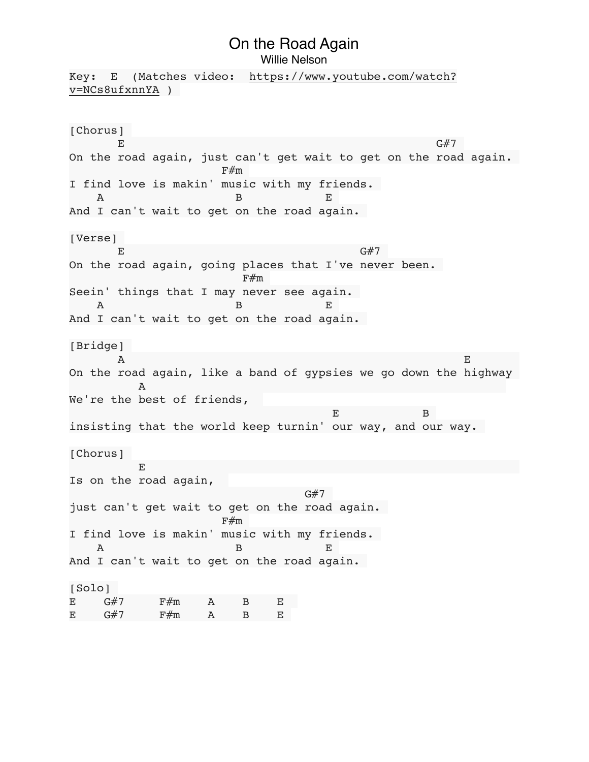## On the Road Again

Willie Nelson

Key: E (Matches video: [https://www.youtube.com/watch?](https://www.youtube.com/watch?v=NCs8ufxnnYA) [v=NCs8ufxnnYA](https://www.youtube.com/watch?v=NCs8ufxnnYA) ) [Chorus]  $E$  G#7 On the road again, just can't get wait to get on the road again.  $F#m$ I find love is makin' music with my friends. A B E And I can't wait to get on the road again. [Verse]  $E$  G#7 On the road again, going places that I've never been.  $F#m$ Seein' things that I may never see again. A B E And I can't wait to get on the road again. [Bridge] A EXECUTIVE REPORT OF A SERIES OF A SERIES OF A SERIES OF A SERIES OF A SERIES OF A SERIES OF A SERIES OF A SE On the road again, like a band of gypsies we go down the highway A We're the best of friends, E BELLEVILLE STATES AND THE STATE OF THE STATE OF THE BELLEVILLE STATES AND THE BELLEVILLE STATES OF THE BELLEVILLE insisting that the world keep turnin' our way, and our way. [Chorus] **Experimental Experimental** Is on the road again, the control of the control of the control of the control of the control of the control of the control of the c just can't get wait to get on the road again.  $\mathbf{F} \# \mathbf{m}$ I find love is makin' music with my friends. A B E And I can't wait to get on the road again. [Solo] E G#7 F#m A B E  $E$  G#7 F#m A B E